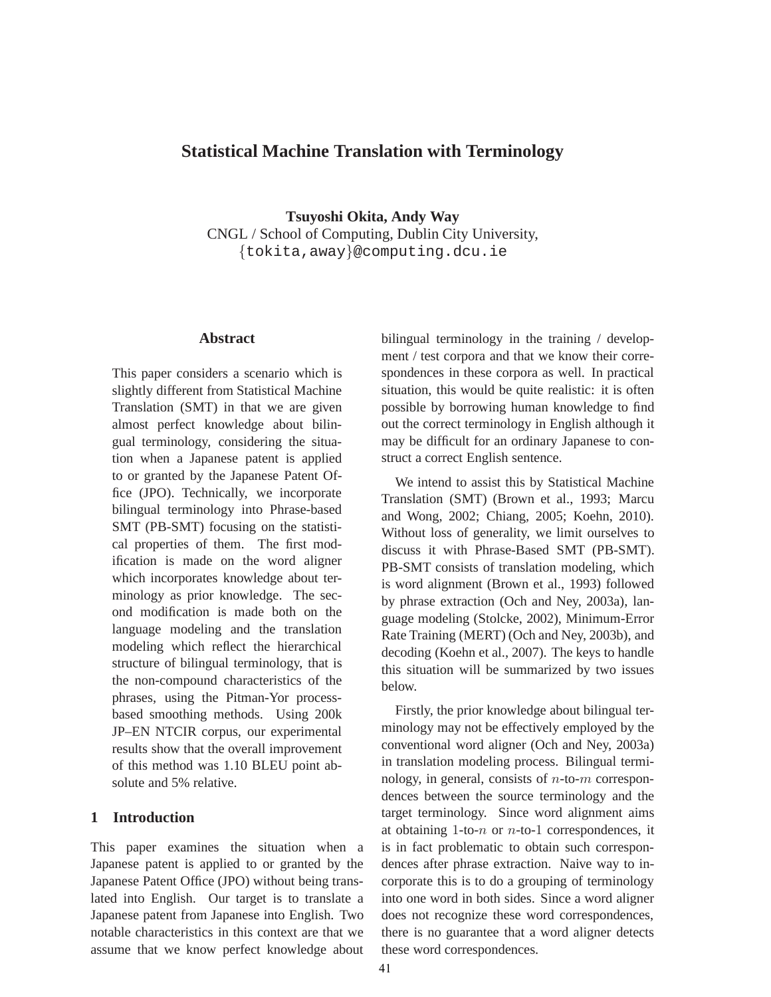# **Statistical Machine Translation with Terminology**

**Tsuyoshi Okita, Andy Way** CNGL / School of Computing, Dublin City University, {tokita,away}@computing.dcu.ie

### **Abstract**

This paper considers a scenario which is slightly different from Statistical Machine Translation (SMT) in that we are given almost perfect knowledge about bilingual terminology, considering the situation when a Japanese patent is applied to or granted by the Japanese Patent Office (JPO). Technically, we incorporate bilingual terminology into Phrase-based SMT (PB-SMT) focusing on the statistical properties of them. The first modification is made on the word aligner which incorporates knowledge about terminology as prior knowledge. The second modification is made both on the language modeling and the translation modeling which reflect the hierarchical structure of bilingual terminology, that is the non-compound characteristics of the phrases, using the Pitman-Yor processbased smoothing methods. Using 200k JP–EN NTCIR corpus, our experimental results show that the overall improvement of this method was 1.10 BLEU point absolute and 5% relative.

## **1 Introduction**

This paper examines the situation when a Japanese patent is applied to or granted by the Japanese Patent Office (JPO) without being translated into English. Our target is to translate a Japanese patent from Japanese into English. Two notable characteristics in this context are that we assume that we know perfect knowledge about bilingual terminology in the training / development / test corpora and that we know their correspondences in these corpora as well. In practical situation, this would be quite realistic: it is often possible by borrowing human knowledge to find out the correct terminology in English although it may be difficult for an ordinary Japanese to construct a correct English sentence.

We intend to assist this by Statistical Machine Translation (SMT) (Brown et al., 1993; Marcu and Wong, 2002; Chiang, 2005; Koehn, 2010). Without loss of generality, we limit ourselves to discuss it with Phrase-Based SMT (PB-SMT). PB-SMT consists of translation modeling, which is word alignment (Brown et al., 1993) followed by phrase extraction (Och and Ney, 2003a), language modeling (Stolcke, 2002), Minimum-Error Rate Training (MERT) (Och and Ney, 2003b), and decoding (Koehn et al., 2007). The keys to handle this situation will be summarized by two issues below.

Firstly, the prior knowledge about bilingual terminology may not be effectively employed by the conventional word aligner (Och and Ney, 2003a) in translation modeling process. Bilingual terminology, in general, consists of  $n$ -to- $m$  correspondences between the source terminology and the target terminology. Since word alignment aims at obtaining 1-to- $n$  or  $n$ -to-1 correspondences, it is in fact problematic to obtain such correspondences after phrase extraction. Naive way to incorporate this is to do a grouping of terminology into one word in both sides. Since a word aligner does not recognize these word correspondences, there is no guarantee that a word aligner detects these word correspondences.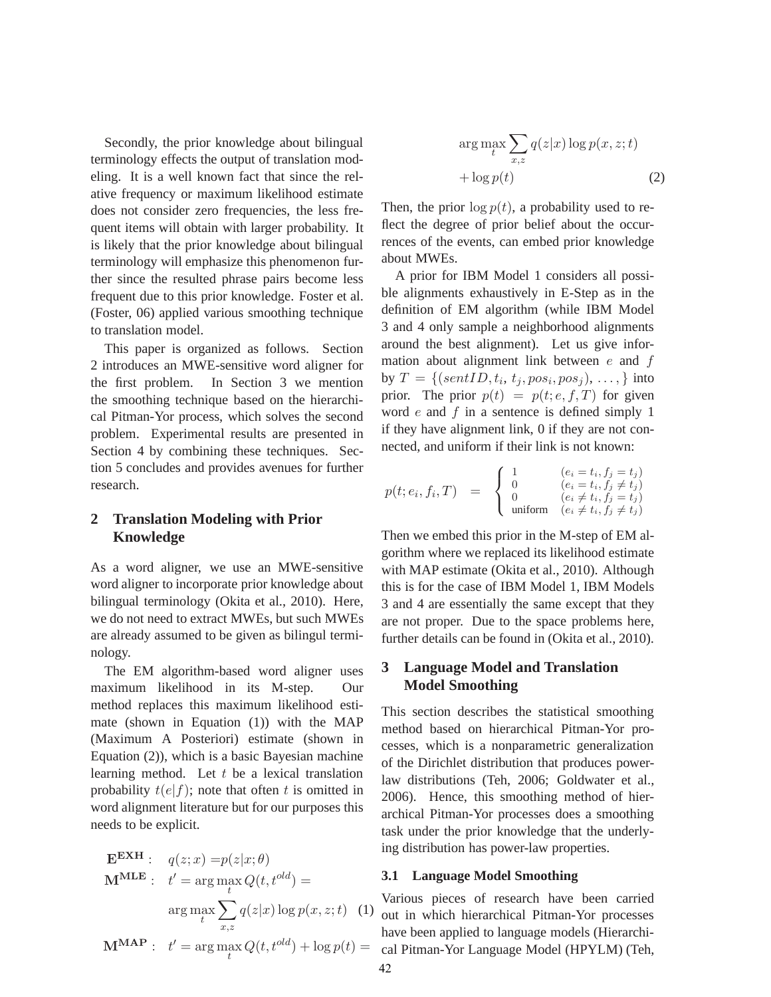Secondly, the prior knowledge about bilingual terminology effects the output of translation modeling. It is a well known fact that since the relative frequency or maximum likelihood estimate does not consider zero frequencies, the less frequent items will obtain with larger probability. It is likely that the prior knowledge about bilingual terminology will emphasize this phenomenon further since the resulted phrase pairs become less frequent due to this prior knowledge. Foster et al. (Foster, 06) applied various smoothing technique to translation model.

This paper is organized as follows. Section 2 introduces an MWE-sensitive word aligner for the first problem. In Section 3 we mention the smoothing technique based on the hierarchical Pitman-Yor process, which solves the second problem. Experimental results are presented in Section 4 by combining these techniques. Section 5 concludes and provides avenues for further research.

## **2 Translation Modeling with Prior Knowledge**

As a word aligner, we use an MWE-sensitive word aligner to incorporate prior knowledge about bilingual terminology (Okita et al., 2010). Here, we do not need to extract MWEs, but such MWEs are already assumed to be given as bilingul terminology.

The EM algorithm-based word aligner uses maximum likelihood in its M-step. Our method replaces this maximum likelihood estimate (shown in Equation (1)) with the MAP (Maximum A Posteriori) estimate (shown in Equation (2)), which is a basic Bayesian machine learning method. Let  $t$  be a lexical translation probability  $t(e|f)$ ; note that often t is omitted in word alignment literature but for our purposes this needs to be explicit.

$$
\begin{aligned}\n\mathbf{E}^{\mathbf{E} \mathbf{X} \mathbf{H}}: \quad & q(z; x) = p(z|x; \theta) \\
\mathbf{M}^{\mathbf{MLE}}: \quad & t' = \arg \max_{t} Q(t, t^{old}) = \\
& \arg \max_{t} \sum_{x,z} q(z|x) \log p(x, z; t) \quad (1) \\
\mathbf{M}^{\mathbf{MAP}}: \quad & t' = \arg \max_{t} Q(t, t^{old}) + \log p(t) = \\
\end{aligned}
$$

$$
\arg\max_{t} \sum_{x,z} q(z|x) \log p(x,z;t)
$$

$$
+ \log p(t) \tag{2}
$$

Then, the prior  $\log p(t)$ , a probability used to reflect the degree of prior belief about the occurrences of the events, can embed prior knowledge about MWEs.

A prior for IBM Model 1 considers all possible alignments exhaustively in E-Step as in the definition of EM algorithm (while IBM Model 3 and 4 only sample a neighborhood alignments around the best alignment). Let us give information about alignment link between  $e$  and  $f$ by  $T = \{(sentID, t_i, t_j, pos_i, pos_j), \ldots, \}$  into prior. The prior  $p(t) = p(t; e, f, T)$  for given word  $e$  and  $f$  in a sentence is defined simply 1 if they have alignment link, 0 if they are not connected, and uniform if their link is not known:

$$
p(t; e_i, f_i, T) = \begin{cases} 1 & (e_i = t_i, f_j = t_j) \\ 0 & (e_i = t_i, f_j \neq t_j) \\ 0 & (e_i \neq t_i, f_j = t_j) \\ \text{uniform} & (e_i \neq t_i, f_j \neq t_j) \end{cases}
$$

Then we embed this prior in the M-step of EM algorithm where we replaced its likelihood estimate with MAP estimate (Okita et al., 2010). Although this is for the case of IBM Model 1, IBM Models 3 and 4 are essentially the same except that they are not proper. Due to the space problems here, further details can be found in (Okita et al., 2010).

## **3 Language Model and Translation Model Smoothing**

This section describes the statistical smoothing method based on hierarchical Pitman-Yor processes, which is a nonparametric generalization of the Dirichlet distribution that produces powerlaw distributions (Teh, 2006; Goldwater et al., 2006). Hence, this smoothing method of hierarchical Pitman-Yor processes does a smoothing task under the prior knowledge that the underlying distribution has power-law properties.

#### **3.1 Language Model Smoothing**

Various pieces of research have been carried out in which hierarchical Pitman-Yor processes have been applied to language models (Hierarchical Pitman-Yor Language Model (HPYLM) (Teh,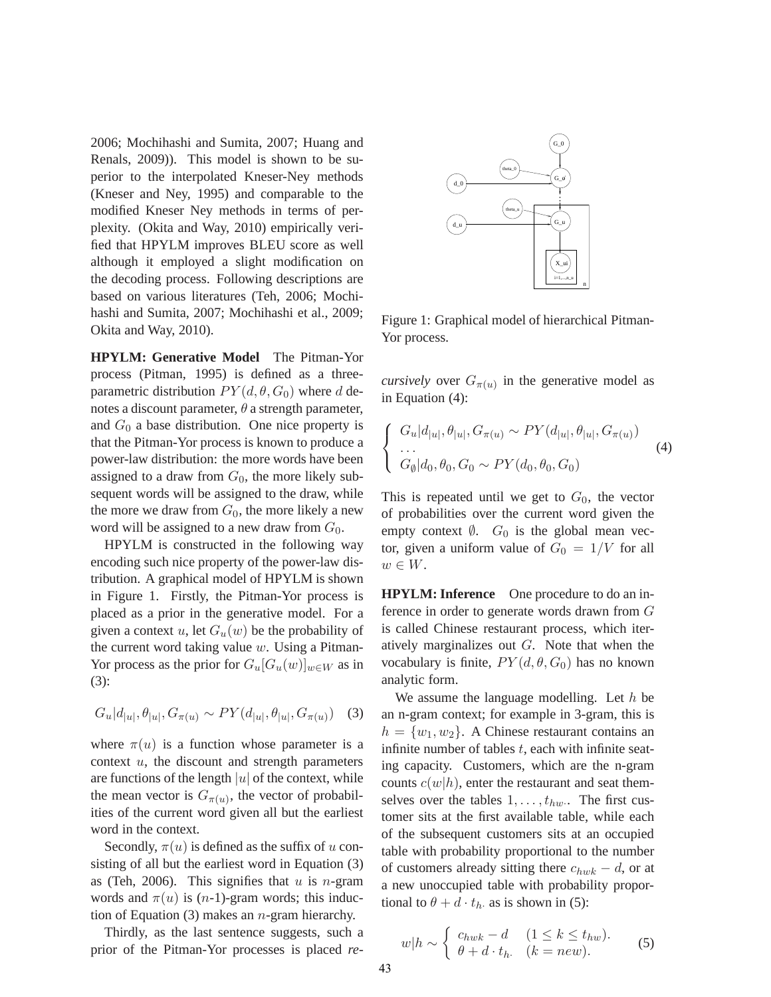2006; Mochihashi and Sumita, 2007; Huang and Renals, 2009)). This model is shown to be superior to the interpolated Kneser-Ney methods (Kneser and Ney, 1995) and comparable to the modified Kneser Ney methods in terms of perplexity. (Okita and Way, 2010) empirically verified that HPYLM improves BLEU score as well although it employed a slight modification on the decoding process. Following descriptions are based on various literatures (Teh, 2006; Mochihashi and Sumita, 2007; Mochihashi et al., 2009; Okita and Way, 2010).

**HPYLM: Generative Model** The Pitman-Yor process (Pitman, 1995) is defined as a threeparametric distribution  $PY(d, \theta, G_0)$  where d denotes a discount parameter,  $\theta$  a strength parameter, and  $G_0$  a base distribution. One nice property is that the Pitman-Yor process is known to produce a power-law distribution: the more words have been assigned to a draw from  $G_0$ , the more likely subsequent words will be assigned to the draw, while the more we draw from  $G_0$ , the more likely a new word will be assigned to a new draw from  $G_0$ .

HPYLM is constructed in the following way encoding such nice property of the power-law distribution. A graphical model of HPYLM is shown in Figure 1. Firstly, the Pitman-Yor process is placed as a prior in the generative model. For a given a context u, let  $G_u(w)$  be the probability of the current word taking value  $w$ . Using a Pitman-Yor process as the prior for  $G_u[G_u(w)]_{w\in W}$  as in (3):

$$
G_u|d_{|u|}, \theta_{|u|}, G_{\pi(u)} \sim PY(d_{|u|}, \theta_{|u|}, G_{\pi(u)}) \quad (3)
$$

where  $\pi(u)$  is a function whose parameter is a context  $u$ , the discount and strength parameters are functions of the length  $|u|$  of the context, while the mean vector is  $G_{\pi(u)}$ , the vector of probabilities of the current word given all but the earliest word in the context.

Secondly,  $\pi(u)$  is defined as the suffix of u consisting of all but the earliest word in Equation (3) as (Teh, 2006). This signifies that  $u$  is *n*-gram words and  $\pi(u)$  is  $(n-1)$ -gram words; this induction of Equation (3) makes an  $n$ -gram hierarchy.

Thirdly, as the last sentence suggests, such a prior of the Pitman-Yor processes is placed *re-*



Figure 1: Graphical model of hierarchical Pitman-Yor process.

*cursively* over  $G_{\pi(u)}$  in the generative model as in Equation (4):

$$
\begin{cases}\nG_u|d_{|u|}, \theta_{|u|}, G_{\pi(u)} \sim PY(d_{|u|}, \theta_{|u|}, G_{\pi(u)}) \\
\cdots \\
G_{\emptyset}|d_0, \theta_0, G_0 \sim PY(d_0, \theta_0, G_0)\n\end{cases} (4)
$$

This is repeated until we get to  $G_0$ , the vector of probabilities over the current word given the empty context  $\emptyset$ .  $G_0$  is the global mean vector, given a uniform value of  $G_0 = 1/V$  for all  $w \in W$ .

**HPYLM: Inference** One procedure to do an inference in order to generate words drawn from G is called Chinese restaurant process, which iteratively marginalizes out  $G$ . Note that when the vocabulary is finite,  $PY(d, \theta, G_0)$  has no known analytic form.

We assume the language modelling. Let  $h$  be an n-gram context; for example in 3-gram, this is  $h = \{w_1, w_2\}$ . A Chinese restaurant contains an infinite number of tables  $t$ , each with infinite seating capacity. Customers, which are the n-gram counts  $c(w|h)$ , enter the restaurant and seat themselves over the tables  $1, \ldots, t_{hw}$ . The first customer sits at the first available table, while each of the subsequent customers sits at an occupied table with probability proportional to the number of customers already sitting there  $c_{hwk} - d$ , or at a new unoccupied table with probability proportional to  $\theta + d \cdot t_h$  as is shown in (5):

$$
w|h \sim \begin{cases} c_{hwk} - d & (1 \le k \le t_{hw}).\\ \theta + d \cdot t_h & (k = new). \end{cases}
$$
 (5)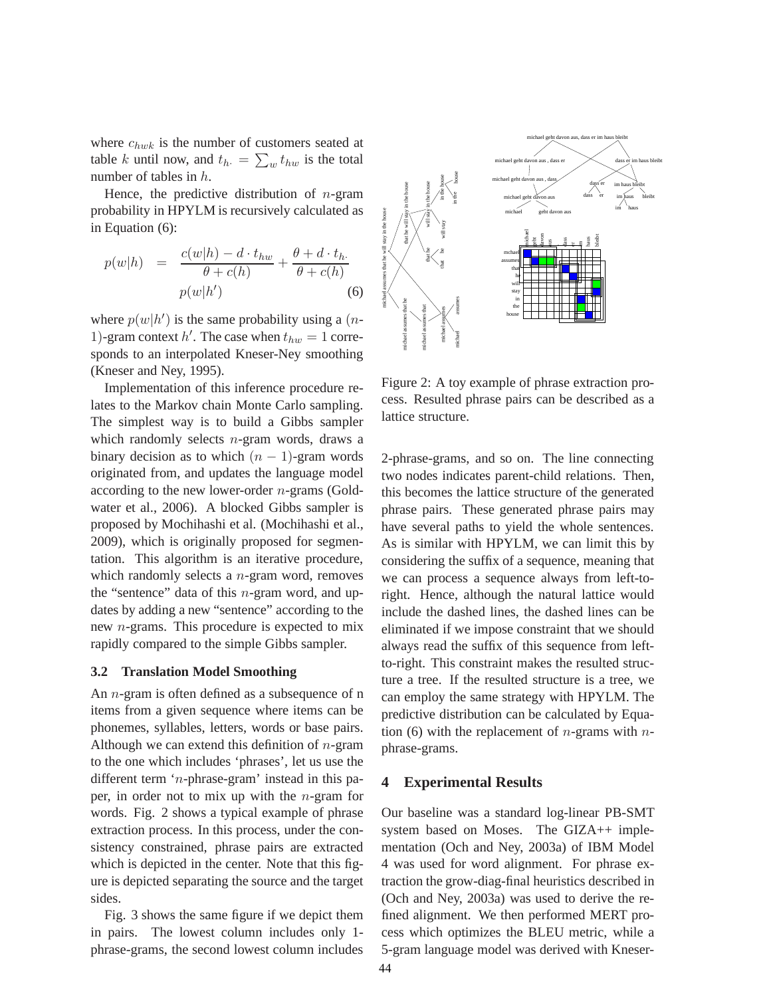where  $c_{hwk}$  is the number of customers seated at table k until now, and  $t_{h} = \sum_{w} t_{hw}$  is the total number of tables in h.

Hence, the predictive distribution of  $n$ -gram probability in HPYLM is recursively calculated as in Equation (6):

$$
p(w|h) = \frac{c(w|h) - d \cdot t_{hw}}{\theta + c(h)} + \frac{\theta + d \cdot t_h}{\theta + c(h)}
$$
  

$$
p(w|h') \tag{6}
$$

where  $p(w|h')$  is the same probability using a (*n*-1)-gram context h'. The case when  $t_{hw} = 1$  corresponds to an interpolated Kneser-Ney smoothing (Kneser and Ney, 1995).

Implementation of this inference procedure relates to the Markov chain Monte Carlo sampling. The simplest way is to build a Gibbs sampler which randomly selects  $n$ -gram words, draws a binary decision as to which  $(n - 1)$ -gram words originated from, and updates the language model according to the new lower-order  $n$ -grams (Goldwater et al., 2006). A blocked Gibbs sampler is proposed by Mochihashi et al. (Mochihashi et al., 2009), which is originally proposed for segmentation. This algorithm is an iterative procedure, which randomly selects a  $n$ -gram word, removes the "sentence" data of this  $n$ -gram word, and updates by adding a new "sentence" according to the new n-grams. This procedure is expected to mix rapidly compared to the simple Gibbs sampler.

#### **3.2 Translation Model Smoothing**

An n-gram is often defined as a subsequence of n items from a given sequence where items can be phonemes, syllables, letters, words or base pairs. Although we can extend this definition of  $n$ -gram to the one which includes 'phrases', let us use the different term 'n-phrase-gram' instead in this paper, in order not to mix up with the  $n$ -gram for words. Fig. 2 shows a typical example of phrase extraction process. In this process, under the consistency constrained, phrase pairs are extracted which is depicted in the center. Note that this figure is depicted separating the source and the target sides.

Fig. 3 shows the same figure if we depict them in pairs. The lowest column includes only 1 phrase-grams, the second lowest column includes



Figure 2: A toy example of phrase extraction process. Resulted phrase pairs can be described as a lattice structure.

2-phrase-grams, and so on. The line connecting two nodes indicates parent-child relations. Then, this becomes the lattice structure of the generated phrase pairs. These generated phrase pairs may have several paths to yield the whole sentences. As is similar with HPYLM, we can limit this by considering the suffix of a sequence, meaning that we can process a sequence always from left-toright. Hence, although the natural lattice would include the dashed lines, the dashed lines can be eliminated if we impose constraint that we should always read the suffix of this sequence from leftto-right. This constraint makes the resulted structure a tree. If the resulted structure is a tree, we can employ the same strategy with HPYLM. The predictive distribution can be calculated by Equation (6) with the replacement of *n*-grams with *n*phrase-grams.

### **4 Experimental Results**

Our baseline was a standard log-linear PB-SMT system based on Moses. The GIZA++ implementation (Och and Ney, 2003a) of IBM Model 4 was used for word alignment. For phrase extraction the grow-diag-final heuristics described in (Och and Ney, 2003a) was used to derive the refined alignment. We then performed MERT process which optimizes the BLEU metric, while a 5-gram language model was derived with Kneser-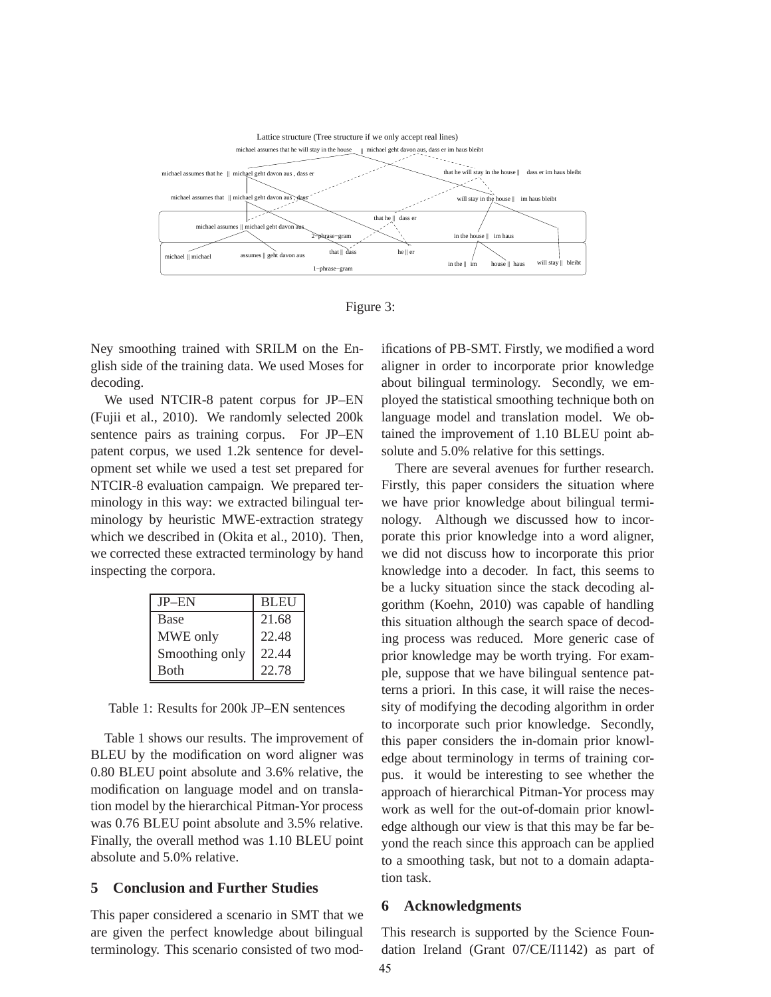



Ney smoothing trained with SRILM on the English side of the training data. We used Moses for decoding.

We used NTCIR-8 patent corpus for JP–EN (Fujii et al., 2010). We randomly selected 200k sentence pairs as training corpus. For JP–EN patent corpus, we used 1.2k sentence for development set while we used a test set prepared for NTCIR-8 evaluation campaign. We prepared terminology in this way: we extracted bilingual terminology by heuristic MWE-extraction strategy which we described in (Okita et al., 2010). Then, we corrected these extracted terminology by hand inspecting the corpora.

| $JP$ – $EN$    | <b>BLEU</b> |
|----------------|-------------|
| <b>Base</b>    | 21.68       |
| MWE only       | 22.48       |
| Smoothing only | 22.44       |
| <b>B</b> oth   | 22.78       |

Table 1: Results for 200k JP–EN sentences

Table 1 shows our results. The improvement of BLEU by the modification on word aligner was 0.80 BLEU point absolute and 3.6% relative, the modification on language model and on translation model by the hierarchical Pitman-Yor process was 0.76 BLEU point absolute and 3.5% relative. Finally, the overall method was 1.10 BLEU point absolute and 5.0% relative.

### **5 Conclusion and Further Studies**

This paper considered a scenario in SMT that we are given the perfect knowledge about bilingual terminology. This scenario consisted of two modifications of PB-SMT. Firstly, we modified a word aligner in order to incorporate prior knowledge about bilingual terminology. Secondly, we employed the statistical smoothing technique both on language model and translation model. We obtained the improvement of 1.10 BLEU point absolute and 5.0% relative for this settings.

There are several avenues for further research. Firstly, this paper considers the situation where we have prior knowledge about bilingual terminology. Although we discussed how to incorporate this prior knowledge into a word aligner, we did not discuss how to incorporate this prior knowledge into a decoder. In fact, this seems to be a lucky situation since the stack decoding algorithm (Koehn, 2010) was capable of handling this situation although the search space of decoding process was reduced. More generic case of prior knowledge may be worth trying. For example, suppose that we have bilingual sentence patterns a priori. In this case, it will raise the necessity of modifying the decoding algorithm in order to incorporate such prior knowledge. Secondly, this paper considers the in-domain prior knowledge about terminology in terms of training corpus. it would be interesting to see whether the approach of hierarchical Pitman-Yor process may work as well for the out-of-domain prior knowledge although our view is that this may be far beyond the reach since this approach can be applied to a smoothing task, but not to a domain adaptation task.

#### **6 Acknowledgments**

This research is supported by the Science Foundation Ireland (Grant 07/CE/I1142) as part of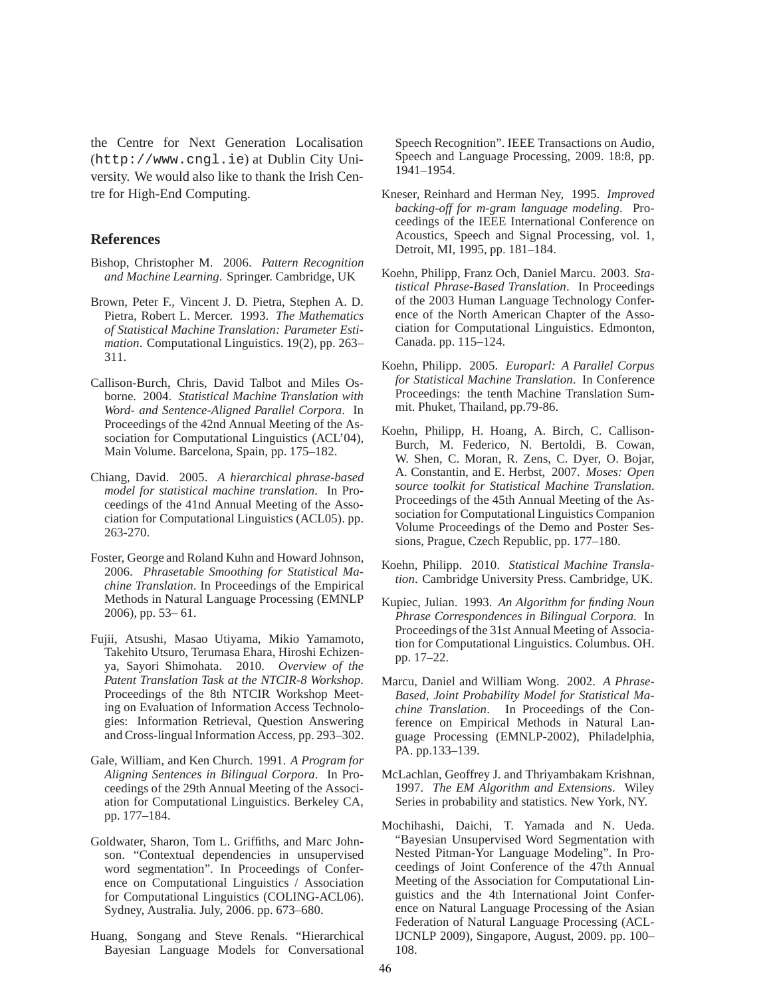the Centre for Next Generation Localisation (http://www.cngl.ie) at Dublin City University. We would also like to thank the Irish Centre for High-End Computing.

#### **References**

- Bishop, Christopher M. 2006. *Pattern Recognition and Machine Learning*. Springer. Cambridge, UK
- Brown, Peter F., Vincent J. D. Pietra, Stephen A. D. Pietra, Robert L. Mercer. 1993. *The Mathematics of Statistical Machine Translation: Parameter Estimation*. Computational Linguistics. 19(2), pp. 263– 311.
- Callison-Burch, Chris, David Talbot and Miles Osborne. 2004. *Statistical Machine Translation with Word- and Sentence-Aligned Parallel Corpora*. In Proceedings of the 42nd Annual Meeting of the Association for Computational Linguistics (ACL'04), Main Volume. Barcelona, Spain, pp. 175–182.
- Chiang, David. 2005. *A hierarchical phrase-based model for statistical machine translation*. In Proceedings of the 41nd Annual Meeting of the Association for Computational Linguistics (ACL05). pp. 263-270.
- Foster, George and Roland Kuhn and Howard Johnson, 2006. *Phrasetable Smoothing for Statistical Machine Translation*. In Proceedings of the Empirical Methods in Natural Language Processing (EMNLP 2006), pp. 53– 61.
- Fujii, Atsushi, Masao Utiyama, Mikio Yamamoto, Takehito Utsuro, Terumasa Ehara, Hiroshi Echizenya, Sayori Shimohata. 2010. *Overview of the Patent Translation Task at the NTCIR-8 Workshop*. Proceedings of the 8th NTCIR Workshop Meeting on Evaluation of Information Access Technologies: Information Retrieval, Question Answering and Cross-lingual Information Access, pp. 293–302.
- Gale, William, and Ken Church. 1991. *A Program for Aligning Sentences in Bilingual Corpora*. In Proceedings of the 29th Annual Meeting of the Association for Computational Linguistics. Berkeley CA, pp. 177–184.
- Goldwater, Sharon, Tom L. Griffiths, and Marc Johnson. "Contextual dependencies in unsupervised word segmentation". In Proceedings of Conference on Computational Linguistics / Association for Computational Linguistics (COLING-ACL06). Sydney, Australia. July, 2006. pp. 673–680.
- Huang, Songang and Steve Renals. "Hierarchical Bayesian Language Models for Conversational

Speech Recognition". IEEE Transactions on Audio, Speech and Language Processing, 2009. 18:8, pp. 1941–1954.

- Kneser, Reinhard and Herman Ney, 1995. *Improved backing-off for m-gram language modeling*. Proceedings of the IEEE International Conference on Acoustics, Speech and Signal Processing, vol. 1, Detroit, MI, 1995, pp. 181–184.
- Koehn, Philipp, Franz Och, Daniel Marcu. 2003. *Statistical Phrase-Based Translation*. In Proceedings of the 2003 Human Language Technology Conference of the North American Chapter of the Association for Computational Linguistics. Edmonton, Canada. pp. 115–124.
- Koehn, Philipp. 2005. *Europarl: A Parallel Corpus for Statistical Machine Translation*. In Conference Proceedings: the tenth Machine Translation Summit. Phuket, Thailand, pp.79-86.
- Koehn, Philipp, H. Hoang, A. Birch, C. Callison-Burch, M. Federico, N. Bertoldi, B. Cowan, W. Shen, C. Moran, R. Zens, C. Dyer, O. Bojar, A. Constantin, and E. Herbst, 2007. *Moses: Open source toolkit for Statistical Machine Translation*. Proceedings of the 45th Annual Meeting of the Association for Computational Linguistics Companion Volume Proceedings of the Demo and Poster Sessions, Prague, Czech Republic, pp. 177–180.
- Koehn, Philipp. 2010. *Statistical Machine Translation*. Cambridge University Press. Cambridge, UK.
- Kupiec, Julian. 1993. *An Algorithm for finding Noun Phrase Correspondences in Bilingual Corpora.* In Proceedings of the 31st Annual Meeting of Association for Computational Linguistics. Columbus. OH. pp. 17–22.
- Marcu, Daniel and William Wong. 2002. *A Phrase-Based, Joint Probability Model for Statistical Machine Translation*. In Proceedings of the Conference on Empirical Methods in Natural Language Processing (EMNLP-2002), Philadelphia, PA. pp.133–139.
- McLachlan, Geoffrey J. and Thriyambakam Krishnan, 1997. *The EM Algorithm and Extensions*. Wiley Series in probability and statistics. New York, NY.
- Mochihashi, Daichi, T. Yamada and N. Ueda. "Bayesian Unsupervised Word Segmentation with Nested Pitman-Yor Language Modeling". In Proceedings of Joint Conference of the 47th Annual Meeting of the Association for Computational Linguistics and the 4th International Joint Conference on Natural Language Processing of the Asian Federation of Natural Language Processing (ACL-IJCNLP 2009), Singapore, August, 2009. pp. 100– 108.